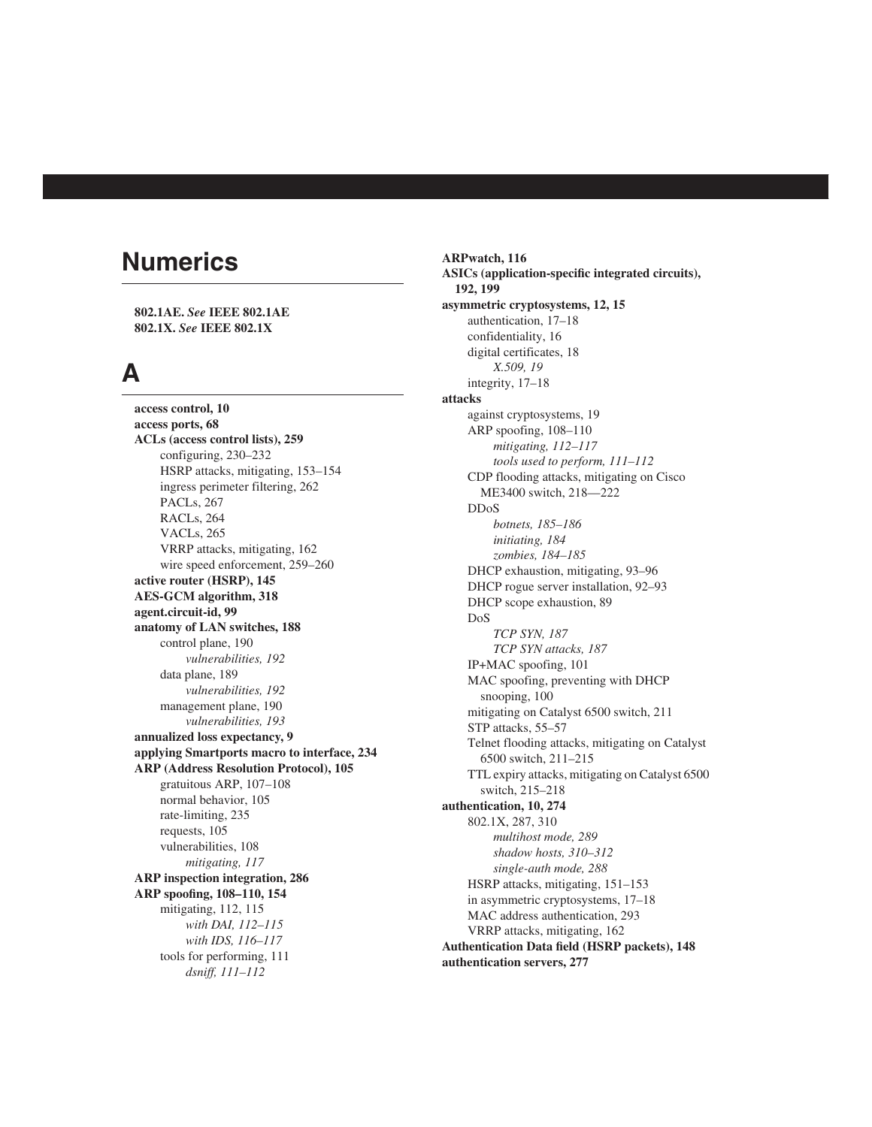# **Numerics**

**802.1AE.** *See* **IEEE 802.1AE 802.1X.** *See* **IEEE 802.1X**

## **A**

**access control, 10 access ports, 68 ACLs (access control lists), 259** configuring, 230–232 HSRP attacks, mitigating, 153–154 ingress perimeter filtering, 262 PACLs, 267 RACLs, 264 VACLs, 265 VRRP attacks, mitigating, 162 wire speed enforcement, 259–260 **active router (HSRP), 145 AES-GCM algorithm, 318 agent.circuit-id, 99 anatomy of LAN switches, 188** control plane, 190 *vulnerabilities, 192* data plane, 189 *vulnerabilities, 192* management plane, 190 *vulnerabilities, 193* **annualized loss expectancy, 9 applying Smartports macro to interface, 234 ARP (Address Resolution Protocol), 105** gratuitous ARP, 107–108 normal behavior, 105 rate-limiting, 235 requests, 105 vulnerabilities, 108 *mitigating, 117* **ARP inspection integration, 286 ARP spoofing, 108–110, 154** mitigating, 112, 115 *with DAI, 112–115 with IDS, 116–117* tools for performing, 111 *dsniff, 111–112*

**ARPwatch, 116 ASICs (application-specific integrated circuits), 192, 199 asymmetric cryptosystems, 12, 15** authentication, 17–18 confidentiality, 16 digital certificates, 18 *X.509, 19* integrity, 17–18 **attacks** against cryptosystems, 19 ARP spoofing, 108–110 *mitigating, 112–117 tools used to perform, 111–112* CDP flooding attacks, mitigating on Cisco ME3400 switch, 218––222 DDoS *botnets, 185–186 initiating, 184 zombies, 184–185* DHCP exhaustion, mitigating, 93–96 DHCP rogue server installation, 92–93 DHCP scope exhaustion, 89 DoS *TCP SYN, 187 TCP SYN attacks, 187* IP+MAC spoofing, 101 MAC spoofing, preventing with DHCP snooping, 100 mitigating on Catalyst 6500 switch, 211 STP attacks, 55–57 Telnet flooding attacks, mitigating on Catalyst 6500 switch, 211–215 TTL expiry attacks, mitigating on Catalyst 6500 switch, 215–218 **authentication, 10, 274** 802.1X, 287, 310 *multihost mode, 289 shadow hosts, 310–312 single-auth mode, 288* HSRP attacks, mitigating, 151–153 in asymmetric cryptosystems, 17–18 MAC address authentication, 293 VRRP attacks, mitigating, 162 **Authentication Data field (HSRP packets), 148 authentication servers, 277**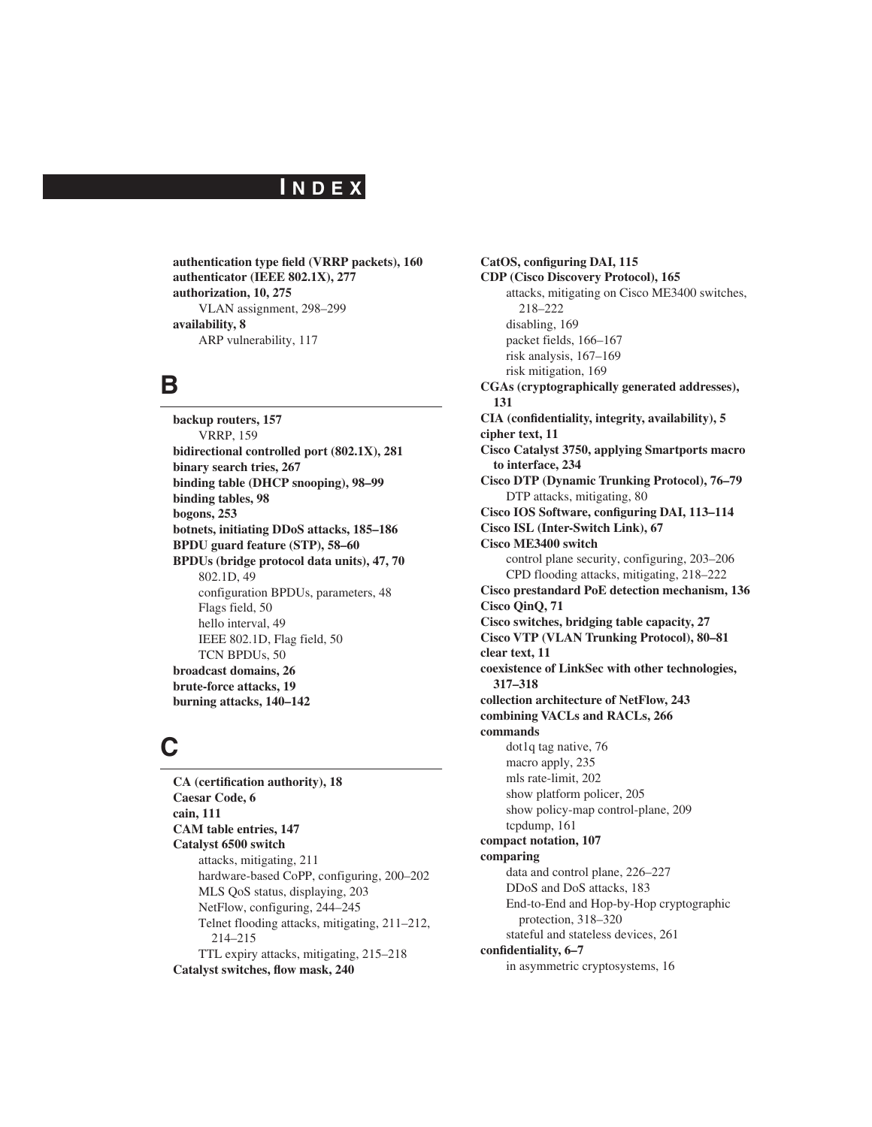### **I N D E X**

**authentication type field (VRRP packets), 160 authenticator (IEEE 802.1X), 277 authorization, 10, 275** VLAN assignment, 298–299 **availability, 8** ARP vulnerability, 117

### **B**

**backup routers, 157** VRRP, 159 **bidirectional controlled port (802.1X), 281 binary search tries, 267 binding table (DHCP snooping), 98–99 binding tables, 98 bogons, 253 botnets, initiating DDoS attacks, 185–186 BPDU guard feature (STP), 58–60 BPDUs (bridge protocol data units), 47, 70** 802.1D, 49 configuration BPDUs, parameters, 48 Flags field, 50 hello interval, 49 IEEE 802.1D, Flag field, 50 TCN BPDUs, 50 **broadcast domains, 26 brute-force attacks, 19 burning attacks, 140–142**

## **C**

**CA (certification authority), 18 Caesar Code, 6 cain, 111 CAM table entries, 147 Catalyst 6500 switch** attacks, mitigating, 211 hardware-based CoPP, configuring, 200–202 MLS QoS status, displaying, 203 NetFlow, configuring, 244–245 Telnet flooding attacks, mitigating, 211–212, 214–215 TTL expiry attacks, mitigating, 215–218 **Catalyst switches, flow mask, 240**

**CatOS, configuring DAI, 115 CDP (Cisco Discovery Protocol), 165** attacks, mitigating on Cisco ME3400 switches, 218–222 disabling, 169 packet fields, 166–167 risk analysis, 167–169 risk mitigation, 169 **CGAs (cryptographically generated addresses), 131 CIA (confidentiality, integrity, availability), 5 cipher text, 11 Cisco Catalyst 3750, applying Smartports macro to interface, 234 Cisco DTP (Dynamic Trunking Protocol), 76–79** DTP attacks, mitigating, 80 **Cisco IOS Software, configuring DAI, 113–114 Cisco ISL (Inter-Switch Link), 67 Cisco ME3400 switch** control plane security, configuring, 203–206 CPD flooding attacks, mitigating, 218–222 **Cisco prestandard PoE detection mechanism, 136 Cisco QinQ, 71 Cisco switches, bridging table capacity, 27 Cisco VTP (VLAN Trunking Protocol), 80–81 clear text, 11 coexistence of LinkSec with other technologies, 317–318 collection architecture of NetFlow, 243 combining VACLs and RACLs, 266 commands** dot1q tag native, 76 macro apply, 235 mls rate-limit, 202 show platform policer, 205 show policy-map control-plane, 209 tcpdump, 161 **compact notation, 107 comparing** data and control plane, 226–227 DDoS and DoS attacks, 183 End-to-End and Hop-by-Hop cryptographic protection, 318–320 stateful and stateless devices, 261 **confidentiality, 6–7** in asymmetric cryptosystems, 16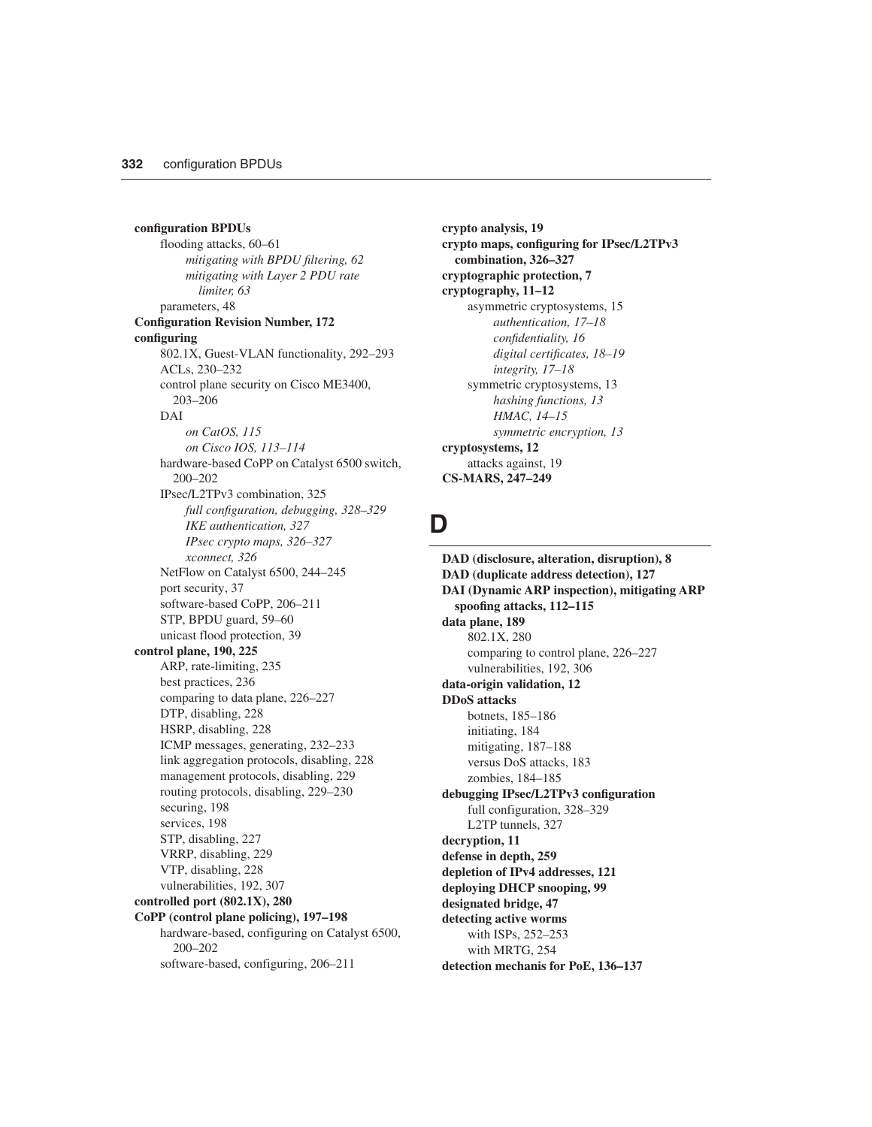**configuration BPDUs** flooding attacks, 60–61 *mitigating with BPDU filtering, 62 mitigating with Layer 2 PDU rate limiter, 63* parameters, 48 **Configuration Revision Number, 172 configuring** 802.1X, Guest-VLAN functionality, 292–293 ACLs, 230–232 control plane security on Cisco ME3400, 203–206 DAI *on CatOS, 115 on Cisco IOS, 113–114* hardware-based CoPP on Catalyst 6500 switch, 200–202 IPsec/L2TPv3 combination, 325 *full configuration, debugging, 328–329 IKE authentication, 327 IPsec crypto maps, 326–327 xconnect, 326* NetFlow on Catalyst 6500, 244–245 port security, 37 software-based CoPP, 206–211 STP, BPDU guard, 59–60 unicast flood protection, 39 **control plane, 190, 225** ARP, rate-limiting, 235 best practices, 236 comparing to data plane, 226–227 DTP, disabling, 228 HSRP, disabling, 228 ICMP messages, generating, 232–233 link aggregation protocols, disabling, 228 management protocols, disabling, 229 routing protocols, disabling, 229–230 securing, 198 services, 198 STP, disabling, 227 VRRP, disabling, 229 VTP, disabling, 228 vulnerabilities, 192, 307 **controlled port (802.1X), 280 CoPP (control plane policing), 197–198** hardware-based, configuring on Catalyst 6500, 200–202

software-based, configuring, 206–211

**crypto analysis, 19 crypto maps, configuring for IPsec/L2TPv3 combination, 326–327 cryptographic protection, 7 cryptography, 11–12** asymmetric cryptosystems, 15 *authentication, 17–18 confidentiality, 16 digital certificates, 18–19 integrity, 17–18* symmetric cryptosystems, 13 *hashing functions, 13 HMAC, 14–15 symmetric encryption, 13* **cryptosystems, 12** attacks against, 19 **CS-MARS, 247–249**

#### **D**

**DAD (disclosure, alteration, disruption), 8 DAD (duplicate address detection), 127 DAI (Dynamic ARP inspection), mitigating ARP spoofing attacks, 112–115 data plane, 189** 802.1X, 280 comparing to control plane, 226–227 vulnerabilities, 192, 306 **data-origin validation, 12 DDoS attacks** botnets, 185–186 initiating, 184 mitigating, 187–188 versus DoS attacks, 183 zombies, 184–185 **debugging IPsec/L2TPv3 configuration** full configuration, 328–329 L2TP tunnels, 327 **decryption, 11 defense in depth, 259 depletion of IPv4 addresses, 121 deploying DHCP snooping, 99 designated bridge, 47 detecting active worms** with ISPs, 252–253 with MRTG, 254 **detection mechanis for PoE, 136–137**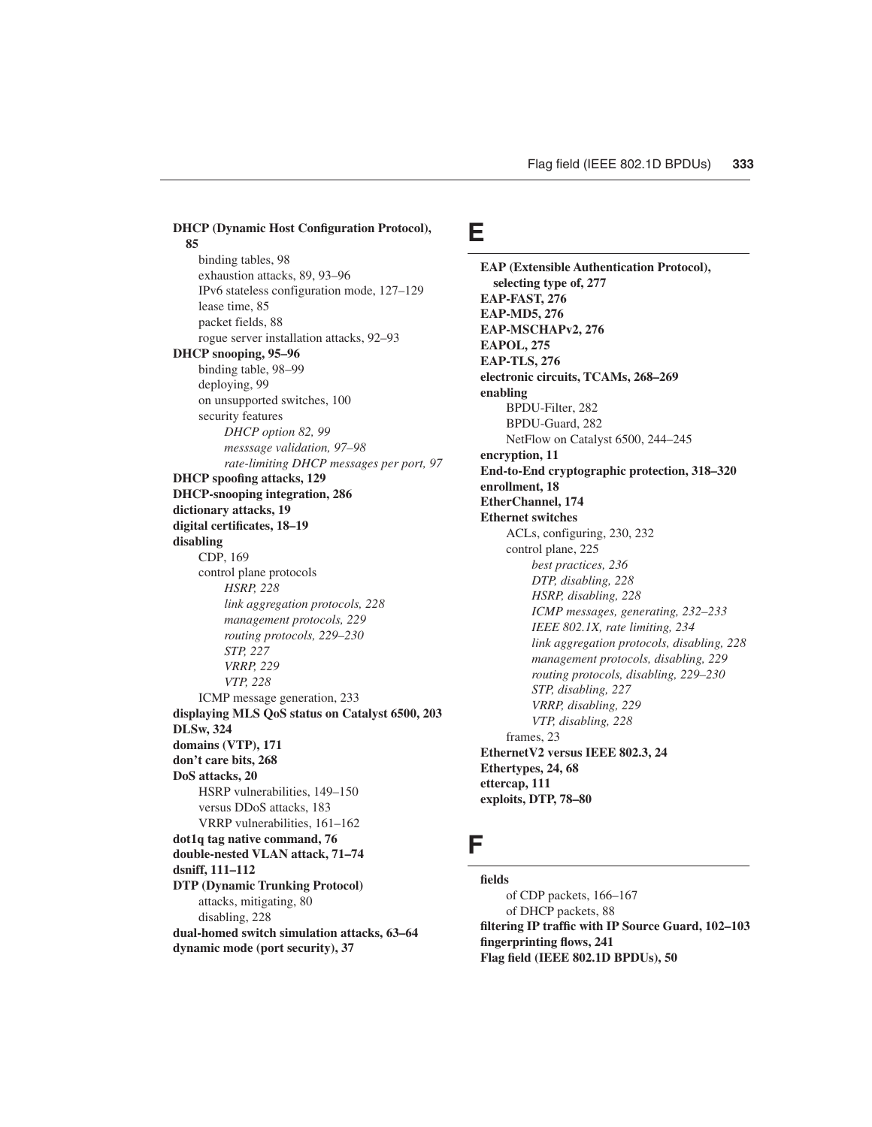**DHCP (Dynamic Host Configuration Protocol), 85** binding tables, 98 exhaustion attacks, 89, 93–96 IPv6 stateless configuration mode, 127–129 lease time, 85 packet fields, 88 rogue server installation attacks, 92–93 **DHCP snooping, 95–96** binding table, 98–99 deploying, 99 on unsupported switches, 100 security features *DHCP option 82, 99 messsage validation, 97–98 rate-limiting DHCP messages per port, 97* **DHCP spoofing attacks, 129 DHCP-snooping integration, 286 dictionary attacks, 19 digital certificates, 18–19 disabling** CDP, 169 control plane protocols *HSRP, 228 link aggregation protocols, 228 management protocols, 229 routing protocols, 229–230 STP, 227 VRRP, 229 VTP, 228* ICMP message generation, 233 **displaying MLS QoS status on Catalyst 6500, 203 DLSw, 324 domains (VTP), 171 don't care bits, 268 DoS attacks, 20** HSRP vulnerabilities, 149–150 versus DDoS attacks, 183 VRRP vulnerabilities, 161–162 **dot1q tag native command, 76 double-nested VLAN attack, 71–74 dsniff, 111–112 DTP (Dynamic Trunking Protocol)** attacks, mitigating, 80 disabling, 228 **dual-homed switch simulation attacks, 63–64 dynamic mode (port security), 37**

#### **E**

**EAP (Extensible Authentication Protocol), selecting type of, 277 EAP-FAST, 276 EAP-MD5, 276 EAP-MSCHAPv2, 276 EAPOL, 275 EAP-TLS, 276 electronic circuits, TCAMs, 268–269 enabling** BPDU-Filter, 282 BPDU-Guard, 282 NetFlow on Catalyst 6500, 244–245 **encryption, 11 End-to-End cryptographic protection, 318–320 enrollment, 18 EtherChannel, 174 Ethernet switches** ACLs, configuring, 230, 232 control plane, 225 *best practices, 236 DTP, disabling, 228 HSRP, disabling, 228 ICMP messages, generating, 232–233 IEEE 802.1X, rate limiting, 234 link aggregation protocols, disabling, 228 management protocols, disabling, 229 routing protocols, disabling, 229–230 STP, disabling, 227 VRRP, disabling, 229 VTP, disabling, 228* frames, 23 **EthernetV2 versus IEEE 802.3, 24 Ethertypes, 24, 68 ettercap, 111 exploits, DTP, 78–80**

#### **F**

**fields** of CDP packets, 166–167 of DHCP packets, 88 **filtering IP traffic with IP Source Guard, 102–103 fingerprinting flows, 241 Flag field (IEEE 802.1D BPDUs), 50**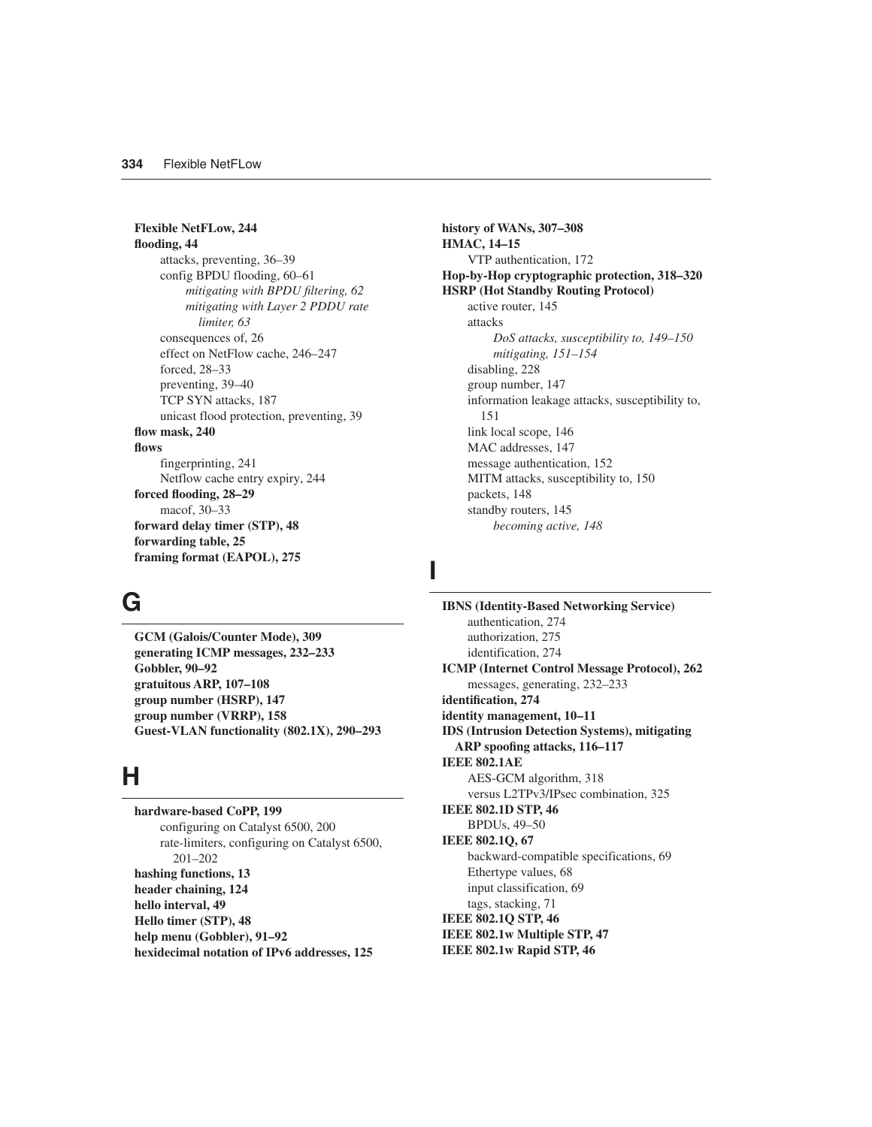**Flexible NetFLow, 244 flooding, 44** attacks, preventing, 36–39 config BPDU flooding, 60–61 *mitigating with BPDU filtering, 62 mitigating with Layer 2 PDDU rate limiter, 63* consequences of, 26 effect on NetFlow cache, 246–247 forced, 28–33 preventing, 39–40 TCP SYN attacks, 187 unicast flood protection, preventing, 39 **flow mask, 240 flows** fingerprinting, 241 Netflow cache entry expiry, 244 **forced flooding, 28–29** macof, 30–33 **forward delay timer (STP), 48 forwarding table, 25 framing format (EAPOL), 275**

# **G**

**GCM (Galois/Counter Mode), 309 generating ICMP messages, 232–233 Gobbler, 90–92 gratuitous ARP, 107–108 group number (HSRP), 147 group number (VRRP), 158 Guest-VLAN functionality (802.1X), 290–293**

# **H**

**hardware-based CoPP, 199** configuring on Catalyst 6500, 200 rate-limiters, configuring on Catalyst 6500, 201–202 **hashing functions, 13 header chaining, 124 hello interval, 49 Hello timer (STP), 48 help menu (Gobbler), 91–92 hexidecimal notation of IPv6 addresses, 125**

**history of WANs, 307–308 HMAC, 14–15** VTP authentication, 172 **Hop-by-Hop cryptographic protection, 318–320 HSRP (Hot Standby Routing Protocol)** active router, 145 attacks *DoS attacks, susceptibility to, 149–150 mitigating, 151–154* disabling, 228 group number, 147 information leakage attacks, susceptibility to, 151 link local scope, 146 MAC addresses, 147 message authentication, 152 MITM attacks, susceptibility to, 150 packets, 148 standby routers, 145 *becoming active, 148*

## **I**

**IBNS (Identity-Based Networking Service)** authentication, 274 authorization, 275 identification, 274 **ICMP (Internet Control Message Protocol), 262** messages, generating, 232–233 **identification, 274 identity management, 10–11 IDS (Intrusion Detection Systems), mitigating ARP spoofing attacks, 116–117 IEEE 802.1AE** AES-GCM algorithm, 318 versus L2TPv3/IPsec combination, 325 **IEEE 802.1D STP, 46** BPDUs, 49–50 **IEEE 802.1Q, 67** backward-compatible specifications, 69 Ethertype values, 68 input classification, 69 tags, stacking, 71 **IEEE 802.1Q STP, 46 IEEE 802.1w Multiple STP, 47 IEEE 802.1w Rapid STP, 46**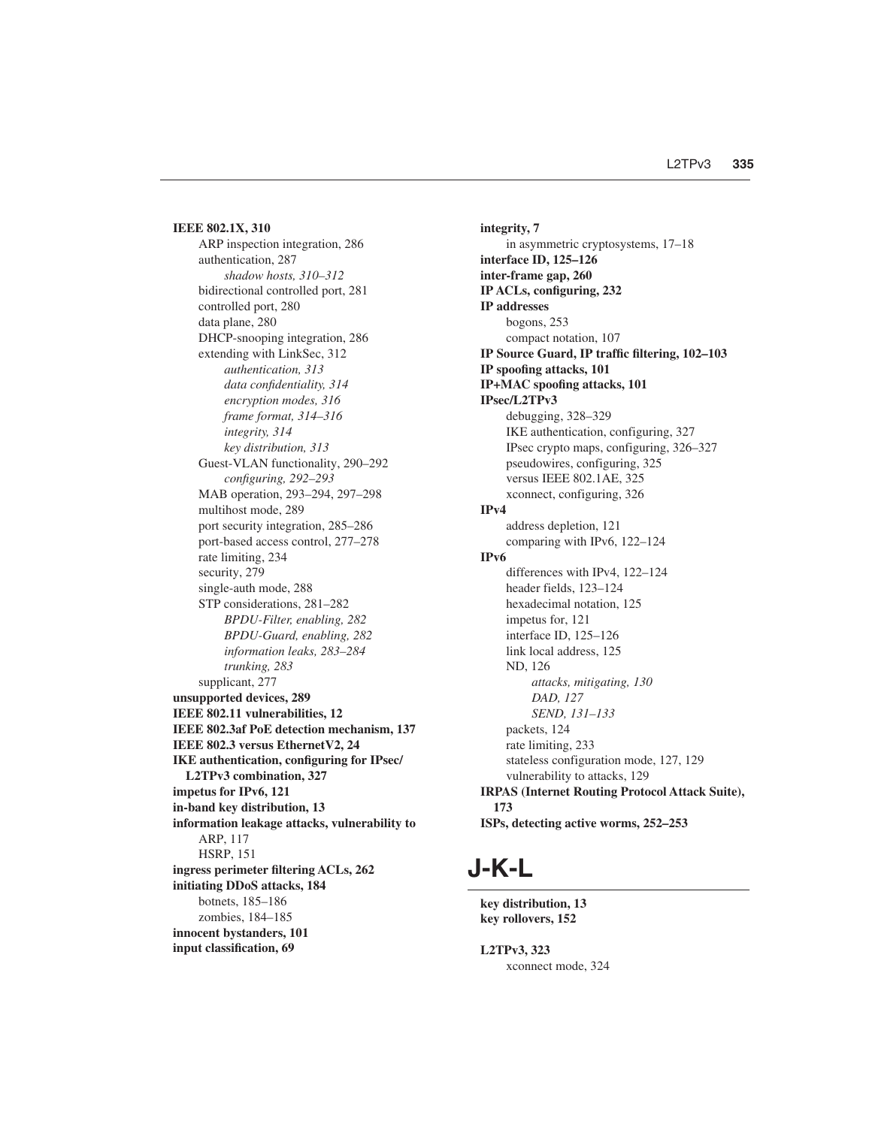**IEEE 802.1X, 310** ARP inspection integration, 286 authentication, 287 *shadow hosts, 310–312* bidirectional controlled port, 281 controlled port, 280 data plane, 280 DHCP-snooping integration, 286 extending with LinkSec, 312 *authentication, 313 data confidentiality, 314 encryption modes, 316 frame format, 314–316 integrity, 314 key distribution, 313* Guest-VLAN functionality, 290–292 *configuring, 292–293* MAB operation, 293–294, 297–298 multihost mode, 289 port security integration, 285–286 port-based access control, 277–278 rate limiting, 234 security, 279 single-auth mode, 288 STP considerations, 281–282 *BPDU-Filter, enabling, 282 BPDU-Guard, enabling, 282 information leaks, 283–284 trunking, 283* supplicant, 277 **unsupported devices, 289 IEEE 802.11 vulnerabilities, 12 IEEE 802.3af PoE detection mechanism, 137 IEEE 802.3 versus EthernetV2, 24 IKE authentication, configuring for IPsec/ L2TPv3 combination, 327 impetus for IPv6, 121 in-band key distribution, 13 information leakage attacks, vulnerability to** ARP, 117 HSRP, 151 **ingress perimeter filtering ACLs, 262 initiating DDoS attacks, 184** botnets, 185–186 zombies, 184–185 **innocent bystanders, 101 input classification, 69**

**integrity, 7** in asymmetric cryptosystems, 17–18 **interface ID, 125–126 inter-frame gap, 260 IP ACLs, configuring, 232 IP addresses** bogons, 253 compact notation, 107 **IP Source Guard, IP traffic filtering, 102–103 IP spoofing attacks, 101 IP+MAC spoofing attacks, 101 IPsec/L2TPv3** debugging, 328–329 IKE authentication, configuring, 327 IPsec crypto maps, configuring, 326–327 pseudowires, configuring, 325 versus IEEE 802.1AE, 325 xconnect, configuring, 326 **IPv4** address depletion, 121 comparing with IPv6, 122–124 **IPv6** differences with IPv4, 122–124 header fields, 123–124 hexadecimal notation, 125 impetus for, 121 interface ID, 125–126 link local address, 125 ND, 126 *attacks, mitigating, 130 DAD, 127 SEND, 131–133* packets, 124 rate limiting, 233 stateless configuration mode, 127, 129 vulnerability to attacks, 129 **IRPAS (Internet Routing Protocol Attack Suite), 173 ISPs, detecting active worms, 252–253**

# **J-K-L**

**key distribution, 13 key rollovers, 152**

**L2TPv3, 323** xconnect mode, 324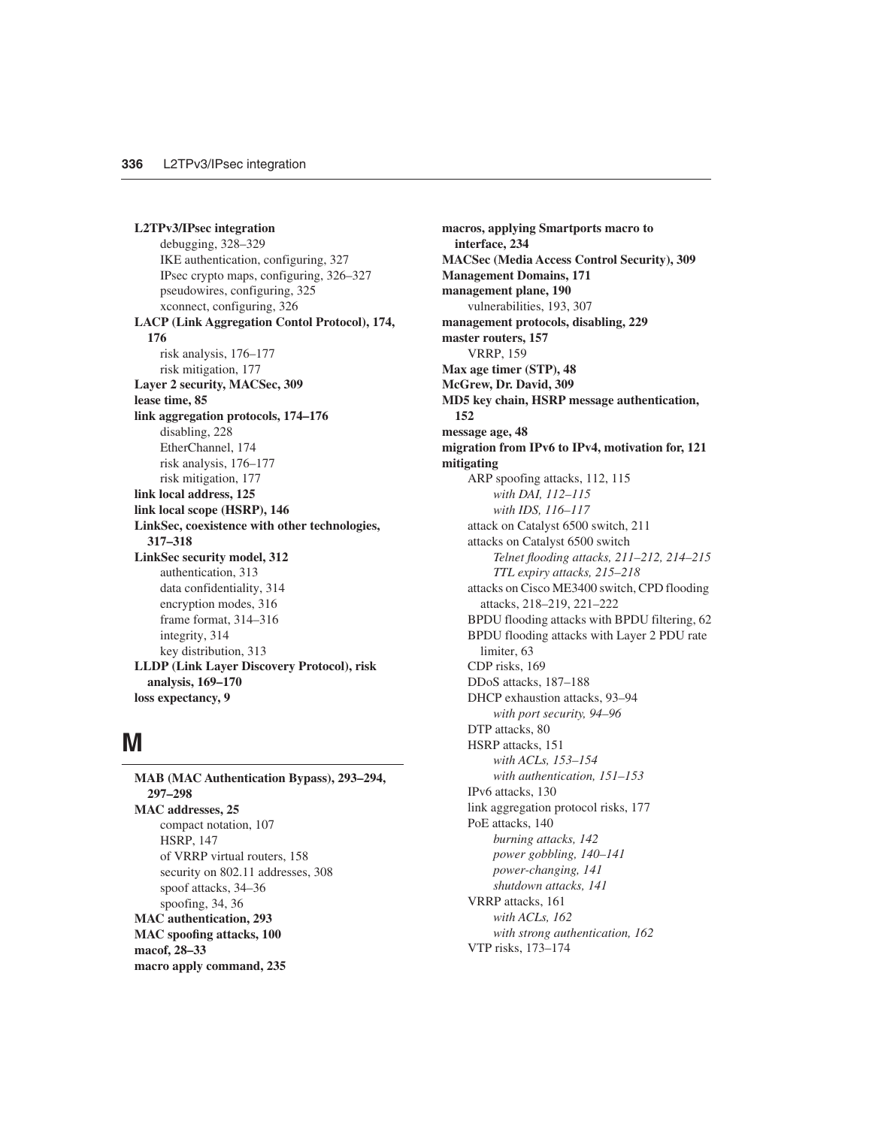**L2TPv3/IPsec integration** debugging, 328–329 IKE authentication, configuring, 327 IPsec crypto maps, configuring, 326–327 pseudowires, configuring, 325 xconnect, configuring, 326 **LACP (Link Aggregation Contol Protocol), 174, 176** risk analysis, 176–177 risk mitigation, 177 **Layer 2 security, MACSec, 309 lease time, 85 link aggregation protocols, 174–176** disabling, 228 EtherChannel, 174 risk analysis, 176–177 risk mitigation, 177 **link local address, 125 link local scope (HSRP), 146 LinkSec, coexistence with other technologies, 317–318 LinkSec security model, 312** authentication, 313 data confidentiality, 314 encryption modes, 316 frame format, 314–316 integrity, 314 key distribution, 313 **LLDP (Link Layer Discovery Protocol), risk analysis, 169–170 loss expectancy, 9**

### **M**

**MAB (MAC Authentication Bypass), 293–294, 297–298 MAC addresses, 25** compact notation, 107 HSRP, 147 of VRRP virtual routers, 158 security on 802.11 addresses, 308 spoof attacks, 34–36 spoofing, 34, 36 **MAC authentication, 293 MAC spoofing attacks, 100 macof, 28–33 macro apply command, 235**

**macros, applying Smartports macro to interface, 234 MACSec (Media Access Control Security), 309 Management Domains, 171 management plane, 190** vulnerabilities, 193, 307 **management protocols, disabling, 229 master routers, 157** VRRP, 159 **Max age timer (STP), 48 McGrew, Dr. David, 309 MD5 key chain, HSRP message authentication, 152 message age, 48 migration from IPv6 to IPv4, motivation for, 121 mitigating** ARP spoofing attacks, 112, 115 *with DAI, 112–115 with IDS, 116–117* attack on Catalyst 6500 switch, 211 attacks on Catalyst 6500 switch *Telnet flooding attacks, 211–212, 214–215 TTL expiry attacks, 215–218* attacks on Cisco ME3400 switch, CPD flooding attacks, 218–219, 221–222 BPDU flooding attacks with BPDU filtering, 62 BPDU flooding attacks with Layer 2 PDU rate limiter, 63 CDP risks, 169 DDoS attacks, 187–188 DHCP exhaustion attacks, 93–94 *with port security, 94–96* DTP attacks, 80 HSRP attacks, 151 *with ACLs, 153–154 with authentication, 151–153* IPv6 attacks, 130 link aggregation protocol risks, 177 PoE attacks, 140 *burning attacks, 142 power gobbling, 140–141 power-changing, 141 shutdown attacks, 141* VRRP attacks, 161 *with ACLs, 162 with strong authentication, 162* VTP risks, 173–174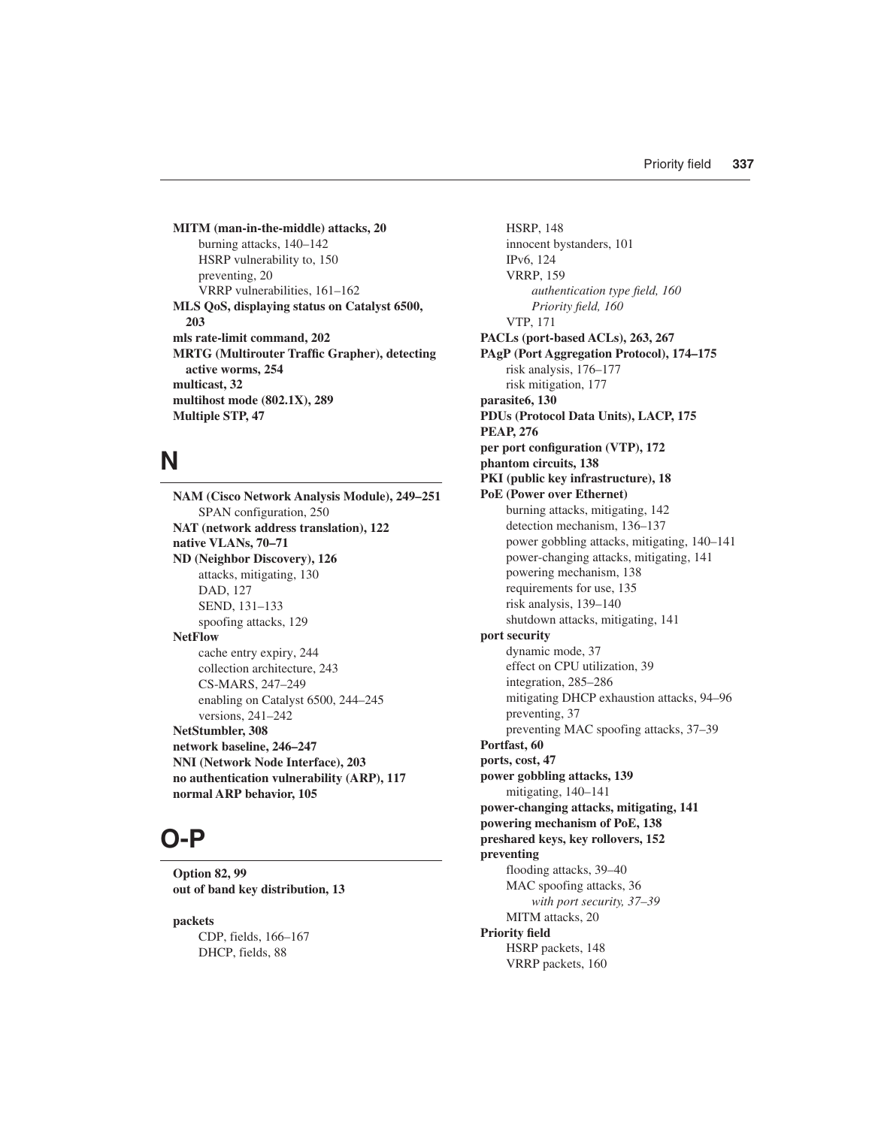**MITM (man-in-the-middle) attacks, 20** burning attacks, 140–142 HSRP vulnerability to, 150 preventing, 20 VRRP vulnerabilities, 161–162 **MLS QoS, displaying status on Catalyst 6500, 203 mls rate-limit command, 202 MRTG (Multirouter Traffic Grapher), detecting active worms, 254 multicast, 32 multihost mode (802.1X), 289 Multiple STP, 47**

## **N**

**NAM (Cisco Network Analysis Module), 249–251** SPAN configuration, 250 **NAT (network address translation), 122 native VLANs, 70–71 ND (Neighbor Discovery), 126** attacks, mitigating, 130 DAD, 127 SEND, 131–133 spoofing attacks, 129 **NetFlow** cache entry expiry, 244 collection architecture, 243 CS-MARS, 247–249 enabling on Catalyst 6500, 244–245 versions, 241–242 **NetStumbler, 308 network baseline, 246–247 NNI (Network Node Interface), 203 no authentication vulnerability (ARP), 117 normal ARP behavior, 105**

## **O-P**

**Option 82, 99 out of band key distribution, 13**

**packets** CDP, fields, 166–167 DHCP, fields, 88

HSRP, 148 innocent bystanders, 101 IPv6, 124 VRRP, 159 *authentication type field, 160 Priority field, 160* VTP, 171 **PACLs (port-based ACLs), 263, 267 PAgP (Port Aggregation Protocol), 174–175** risk analysis, 176–177 risk mitigation, 177 **parasite6, 130 PDUs (Protocol Data Units), LACP, 175 PEAP, 276 per port configuration (VTP), 172 phantom circuits, 138 PKI (public key infrastructure), 18 PoE (Power over Ethernet)** burning attacks, mitigating, 142 detection mechanism, 136–137 power gobbling attacks, mitigating, 140–141 power-changing attacks, mitigating, 141 powering mechanism, 138 requirements for use, 135 risk analysis, 139–140 shutdown attacks, mitigating, 141 **port security** dynamic mode, 37 effect on CPU utilization, 39 integration, 285–286 mitigating DHCP exhaustion attacks, 94–96 preventing, 37 preventing MAC spoofing attacks, 37–39 **Portfast, 60 ports, cost, 47 power gobbling attacks, 139** mitigating, 140–141 **power-changing attacks, mitigating, 141 powering mechanism of PoE, 138 preshared keys, key rollovers, 152 preventing** flooding attacks, 39–40 MAC spoofing attacks, 36 *with port security, 37–39* MITM attacks, 20 **Priority field**  HSRP packets, 148 VRRP packets, 160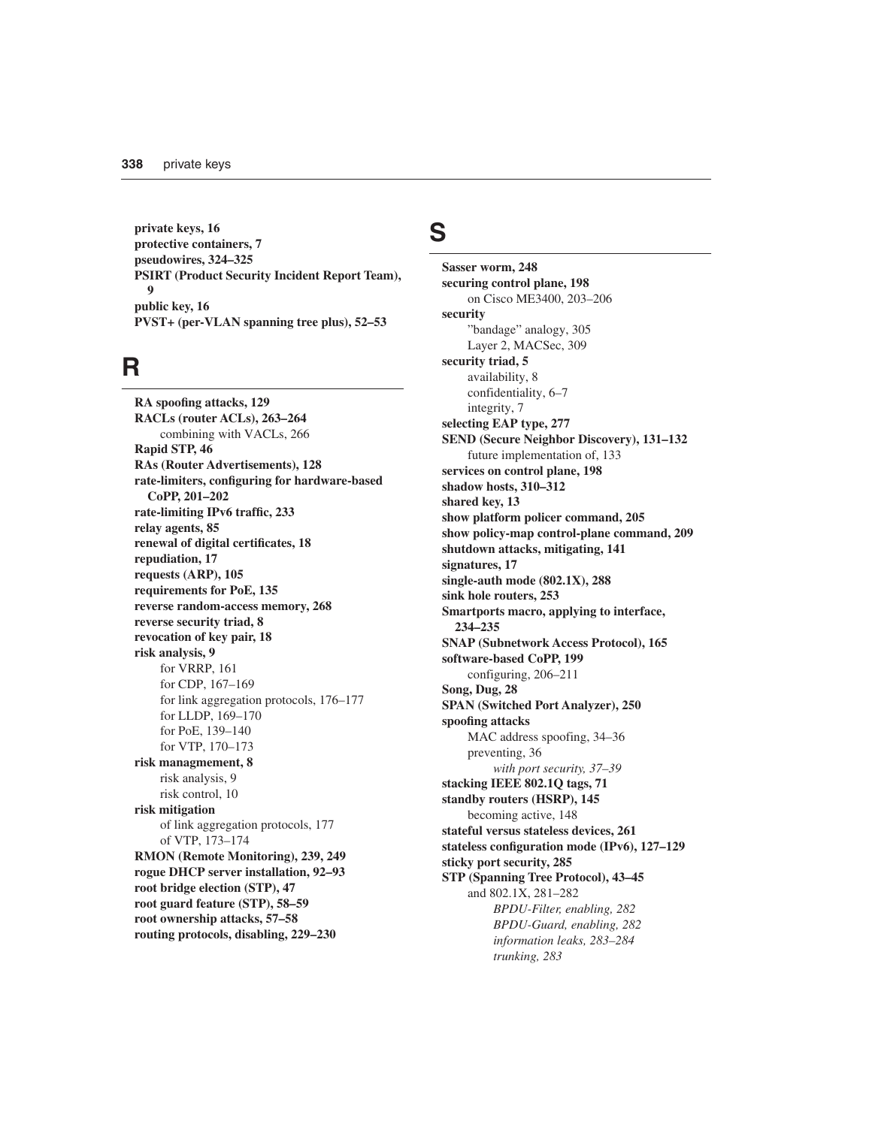**private keys, 16 protective containers, 7 pseudowires, 324–325 PSIRT (Product Security Incident Report Team), 9 public key, 16 PVST+ (per-VLAN spanning tree plus), 52–53**

## **R**

**RA spoofing attacks, 129 RACLs (router ACLs), 263–264** combining with VACLs, 266 **Rapid STP, 46 RAs (Router Advertisements), 128 rate-limiters, configuring for hardware-based CoPP, 201–202 rate-limiting IPv6 traffic, 233 relay agents, 85 renewal of digital certificates, 18 repudiation, 17 requests (ARP), 105 requirements for PoE, 135 reverse random-access memory, 268 reverse security triad, 8 revocation of key pair, 18 risk analysis, 9** for VRRP, 161 for CDP, 167–169 for link aggregation protocols, 176–177 for LLDP, 169–170 for PoE, 139–140 for VTP, 170–173 **risk managmement, 8** risk analysis, 9 risk control, 10 **risk mitigation** of link aggregation protocols, 177 of VTP, 173–174 **RMON (Remote Monitoring), 239, 249 rogue DHCP server installation, 92–93 root bridge election (STP), 47 root guard feature (STP), 58–59 root ownership attacks, 57–58 routing protocols, disabling, 229–230**

## **S**

**Sasser worm, 248 securing control plane, 198** on Cisco ME3400, 203–206 **security** "bandage" analogy, 305 Layer 2, MACSec, 309 **security triad, 5** availability, 8 confidentiality, 6–7 integrity, 7 **selecting EAP type, 277 SEND (Secure Neighbor Discovery), 131–132** future implementation of, 133 **services on control plane, 198 shadow hosts, 310–312 shared key, 13 show platform policer command, 205 show policy-map control-plane command, 209 shutdown attacks, mitigating, 141 signatures, 17 single-auth mode (802.1X), 288 sink hole routers, 253 Smartports macro, applying to interface, 234–235 SNAP (Subnetwork Access Protocol), 165 software-based CoPP, 199** configuring, 206–211 **Song, Dug, 28 SPAN (Switched Port Analyzer), 250 spoofing attacks** MAC address spoofing, 34–36 preventing, 36 *with port security, 37–39* **stacking IEEE 802.1Q tags, 71 standby routers (HSRP), 145** becoming active, 148 **stateful versus stateless devices, 261 stateless configuration mode (IPv6), 127–129 sticky port security, 285 STP (Spanning Tree Protocol), 43–45** and 802.1X, 281–282 *BPDU-Filter, enabling, 282 BPDU-Guard, enabling, 282 information leaks, 283–284 trunking, 283*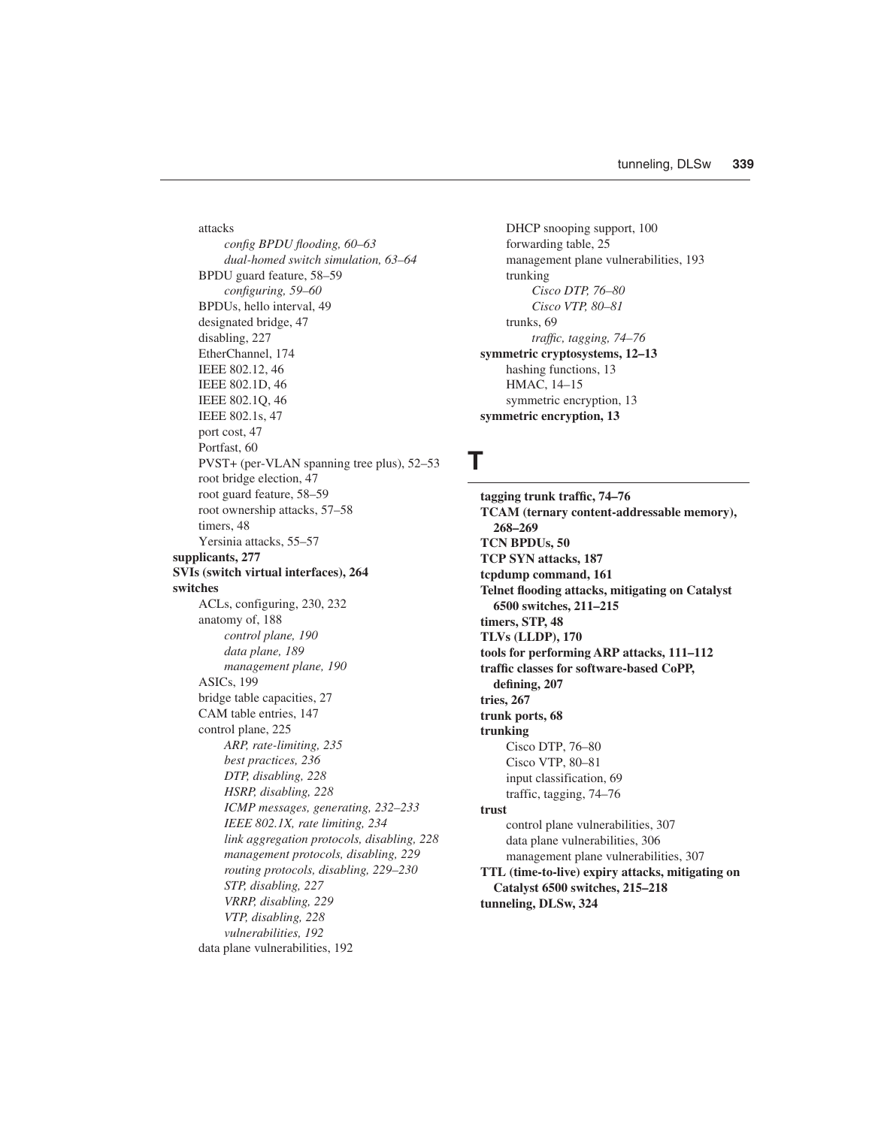attacks *config BPDU flooding, 60–63 dual-homed switch simulation, 63–64* BPDU guard feature, 58–59 *configuring, 59–60* BPDUs, hello interval, 49 designated bridge, 47 disabling, 227 EtherChannel, 174 IEEE 802.12, 46 IEEE 802.1D, 46 IEEE 802.1Q, 46 IEEE 802.1s, 47 port cost, 47 Portfast, 60 PVST+ (per-VLAN spanning tree plus), 52–53 root bridge election, 47 root guard feature, 58–59 root ownership attacks, 57–58 timers, 48 Yersinia attacks, 55–57 **supplicants, 277 SVIs (switch virtual interfaces), 264 switches** ACLs, configuring, 230, 232 anatomy of, 188 *control plane, 190 data plane, 189 management plane, 190* ASICs, 199 bridge table capacities, 27 CAM table entries, 147 control plane, 225 *ARP, rate-limiting, 235 best practices, 236 DTP, disabling, 228 HSRP, disabling, 228 ICMP messages, generating, 232–233 IEEE 802.1X, rate limiting, 234 link aggregation protocols, disabling, 228 management protocols, disabling, 229 routing protocols, disabling, 229–230 STP, disabling, 227 VRRP, disabling, 229 VTP, disabling, 228 vulnerabilities, 192* data plane vulnerabilities, 192

DHCP snooping support, 100 forwarding table, 25 management plane vulnerabilities, 193 trunking *Cisco DTP, 76–80 Cisco VTP, 80–81* trunks, 69 *traffic, tagging, 74–76* **symmetric cryptosystems, 12–13** hashing functions, 13 HMAC, 14–15 symmetric encryption, 13 **symmetric encryption, 13**

#### **T**

**tagging trunk traffic, 74–76 TCAM (ternary content-addressable memory), 268–269 TCN BPDUs, 50 TCP SYN attacks, 187 tcpdump command, 161 Telnet flooding attacks, mitigating on Catalyst 6500 switches, 211–215 timers, STP, 48 TLVs (LLDP), 170 tools for performing ARP attacks, 111–112 traffic classes for software-based CoPP, defining, 207 tries, 267 trunk ports, 68 trunking** Cisco DTP, 76–80 Cisco VTP, 80–81 input classification, 69 traffic, tagging, 74–76 **trust** control plane vulnerabilities, 307 data plane vulnerabilities, 306 management plane vulnerabilities, 307 **TTL (time-to-live) expiry attacks, mitigating on Catalyst 6500 switches, 215–218 tunneling, DLSw, 324**